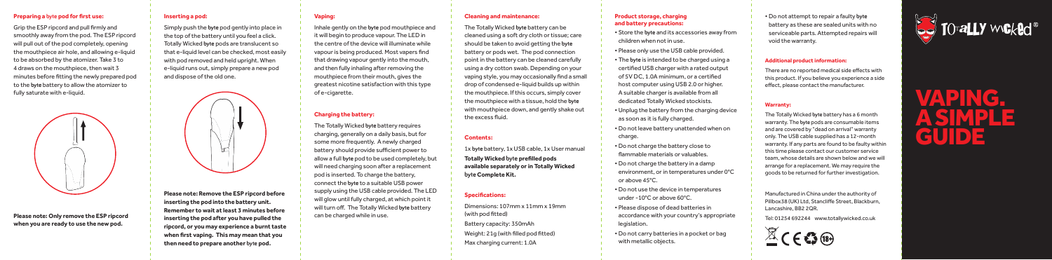# **Preparing a byte pod for first use:**

Grip the ESP ripcord and pull firmly and smoothly away from the pod. The ESP ripcord will pull out of the pod completely, opening the mouthpiece air hole, and allowing e-liquid to be absorbed by the atomizer. Take 3 to 4 draws on the mouthpiece, then wait 3 minutes before fitting the newly prepared pod to the **byte** battery to allow the atomizer to fully saturate with e-liquid.



**Please note: Only remove the ESP ripcord when you are ready to use the new pod.**

# **Inserting a pod:**

Simply push the **byte** pod gently into place in the top of the battery until you feel a click. Totally Wicked **byte** pods are translucent so that e-liquid level can be checked, most easily with pod removed and held upright. When e-liquid runs out, simply prepare a new pod and dispose of the old one.

**Vaping:**

of e-cigarette.

**Charging the battery:**

can be charged while in use.

The Totally Wicked **byte** battery requires charging, generally on a daily basis, but for some more frequently. A newly charged battery should provide sufficient power to allow a full **byte** pod to be used completely, but will need charging soon after a replacement pod is inserted. To charge the battery, connect the **byte** to a suitable USB power supply using the USB cable provided. The LED will glow until fully charged, at which point it will turn off. The Totally Wicked **byte** battery

Inhale gently on the **byte** pod mouthpiece and it will begin to produce vapour. The LED in the centre of the device will illuminate while vapour is being produced. Most vapers find that drawing vapour gently into the mouth, and then fully inhaling after removing the mouthpiece from their mouth, gives the greatest nicotine satisfaction with this type



**Please note: Remove the ESP ripcord before inserting the pod into the battery unit. Remember to wait at least 3 minutes before inserting the pod after you have pulled the ripcord, or you may experience a burnt taste when first vaping. This may mean that you then need to prepare another byte pod.**

# **Cleaning and maintenance:**

The Totally Wicked **byte** battery can be cleaned using a soft dry cloth or tissue; care should be taken to avoid getting the **byte** battery or pods wet. The pod connection point in the battery can be cleaned carefully using a dry cotton swab. Depending on your vaping style, you may occasionally find a small drop of condensed e-liquid builds up within the mouthpiece. If this occurs, simply cover the mouthpiece with a tissue, hold the **byte** with mouthpiece down, and gently shake out the excess fluid.

### **Contents:**

1x **byte** battery, 1x USB cable, 1x User manual **Totally Wicked byte prefilled pods available separately or in Totally Wicked byte Complete Kit.**

# **Specifications:**

Dimensions: 107mm x 11mm x 19mm (with pod fitted)

- Battery capacity: 350mAh
- Weight: 21g (with filled pod fitted)
- Max charging current: 1.0A

#### **Product storage, charging and battery precautions:**

• Store the **byte** and its accessories away from children when not in use. • Please only use the USB cable provided.

• The **byte** is intended to be charged using a certified USB charger with a rated output of 5V DC, 1.0A minimum, or a certified host computer using USB 2.0 or higher. A suitable charger is available from all dedicated Totally Wicked stockists. • Unplug the battery from the charging device as soon as it is fully charged. • Do not leave battery unattended when on charge.

• Do not charge the battery close to flammable materials or valuables. • Do not charge the battery in a damp environment, or in temperatures under 0°C or above 45°C.

• Do not use the device in temperatures under -10°C or above 60°C.

• Please dispose of dead batteries in accordance with your country's appropriate legislation.

• Do not carry batteries in a pocket or bag with metallic objects.

• Do not attempt to repair a faulty **byte** battery as these are sealed units with no serviceable parts. Attempted repairs will void the warranty.



#### **Additional product information:**

There are no reported medical side effects with this product. If you believe you experience a side effect, please contact the manufacturer.

#### **Warranty:**

The Totally Wicked **byte** battery has a 6 month warranty. The **byte** pods are consumable items and are covered by "dead on arrival" warranty only. The USB cable supplied has a 12-month warranty. If any parts are found to be faulty within this time please contact our customer service team, whose details are shown below and we will arrange for a replacement. We may require the goods to be returned for further investigation.

Manufactured in China under the authority of Pillbox38 (UK) Ltd, Stancliffe Street, Blackburn, Lancashire, BB2 2QR.

Tel: 01254 692244 www.totallywicked.co.uk